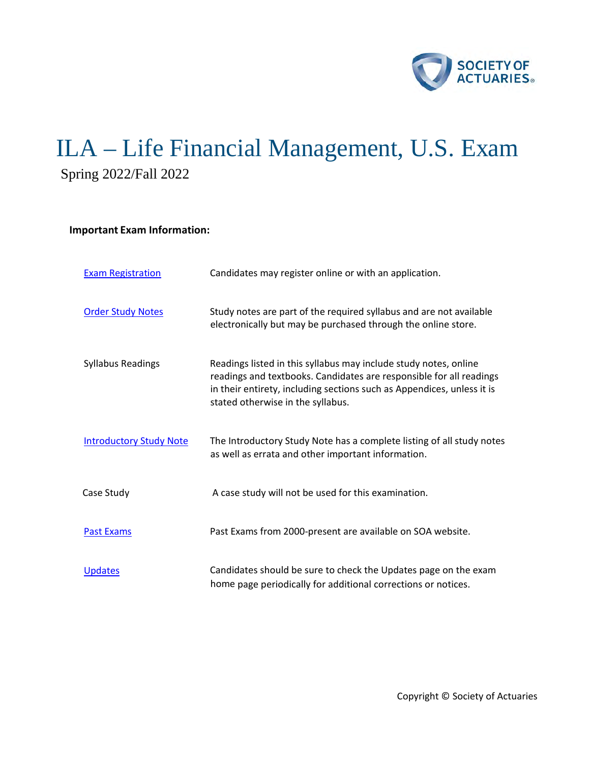

# ILA – Life Financial Management, U.S. Exam Spring 2022/Fall 2022

## **Important Exam Information:**

| <b>Exam Registration</b>       | Candidates may register online or with an application.                                                                                                                                                                                                 |
|--------------------------------|--------------------------------------------------------------------------------------------------------------------------------------------------------------------------------------------------------------------------------------------------------|
| <b>Order Study Notes</b>       | Study notes are part of the required syllabus and are not available<br>electronically but may be purchased through the online store.                                                                                                                   |
| <b>Syllabus Readings</b>       | Readings listed in this syllabus may include study notes, online<br>readings and textbooks. Candidates are responsible for all readings<br>in their entirety, including sections such as Appendices, unless it is<br>stated otherwise in the syllabus. |
| <b>Introductory Study Note</b> | The Introductory Study Note has a complete listing of all study notes<br>as well as errata and other important information.                                                                                                                            |
| Case Study                     | A case study will not be used for this examination.                                                                                                                                                                                                    |
| <b>Past Exams</b>              | Past Exams from 2000-present are available on SOA website.                                                                                                                                                                                             |
| <b>Updates</b>                 | Candidates should be sure to check the Updates page on the exam<br>home page periodically for additional corrections or notices.                                                                                                                       |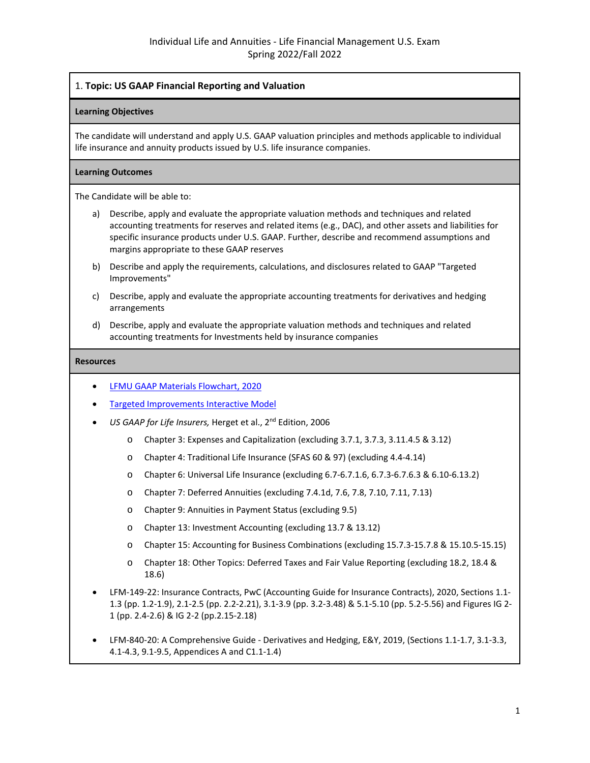## 1. **Topic: US GAAP Financial Reporting and Valuation**

## **Learning Objectives**

The candidate will understand and apply U.S. GAAP valuation principles and methods applicable to individual life insurance and annuity products issued by U.S. life insurance companies.

#### **Learning Outcomes**

The Candidate will be able to:

- a) Describe, apply and evaluate the appropriate valuation methods and techniques and related accounting treatments for reserves and related items (e.g., DAC), and other assets and liabilities for specific insurance products under U.S. GAAP. Further, describe and recommend assumptions and margins appropriate to these GAAP reserves
- b) Describe and apply the requirements, calculations, and disclosures related to GAAP "Targeted Improvements"
- c) Describe, apply and evaluate the appropriate accounting treatments for derivatives and hedging arrangements
- d) Describe, apply and evaluate the appropriate valuation methods and techniques and related accounting treatments for Investments held by insurance companies

- [LFMU GAAP Materials Flowchart, 2020](https://www.soa.org/globalassets/assets/files/edu/2021/spring/ila-lfmu-gaap-flowchart.pdf)
- [Targeted Improvements Interactive Model](https://www.soa.org/globalassets/assets/files/edu/2020/spring/intro-study-notes/targeted-improvements-interactive-model.xlsx)
- US GAAP for Life Insurers, Herget et al., 2<sup>nd</sup> Edition, 2006
	- o Chapter 3: Expenses and Capitalization (excluding 3.7.1, 3.7.3, 3.11.4.5 & 3.12)
	- o Chapter 4: Traditional Life Insurance (SFAS 60 & 97) (excluding 4.4-4.14)
	- o Chapter 6: Universal Life Insurance (excluding 6.7-6.7.1.6, 6.7.3-6.7.6.3 & 6.10-6.13.2)
	- o Chapter 7: Deferred Annuities (excluding 7.4.1d, 7.6, 7.8, 7.10, 7.11, 7.13)
	- o Chapter 9: Annuities in Payment Status (excluding 9.5)
	- o Chapter 13: Investment Accounting (excluding 13.7 & 13.12)
	- o Chapter 15: Accounting for Business Combinations (excluding 15.7.3-15.7.8 & 15.10.5-15.15)
	- o Chapter 18: Other Topics: Deferred Taxes and Fair Value Reporting (excluding 18.2, 18.4 & 18.6)
- LFM-149-22: Insurance Contracts, PwC (Accounting Guide for Insurance Contracts), 2020, Sections 1.1- 1.3 (pp. 1.2-1.9), 2.1-2.5 (pp. 2.2-2.21), 3.1-3.9 (pp. 3.2-3.48) & 5.1-5.10 (pp. 5.2-5.56) and Figures IG 2- 1 (pp. 2.4-2.6) & IG 2-2 (pp.2.15-2.18)
- LFM-840-20: A Comprehensive Guide Derivatives and Hedging, E&Y, 2019, (Sections 1.1-1.7, 3.1-3.3, 4.1-4.3, 9.1-9.5, Appendices A and C1.1-1.4)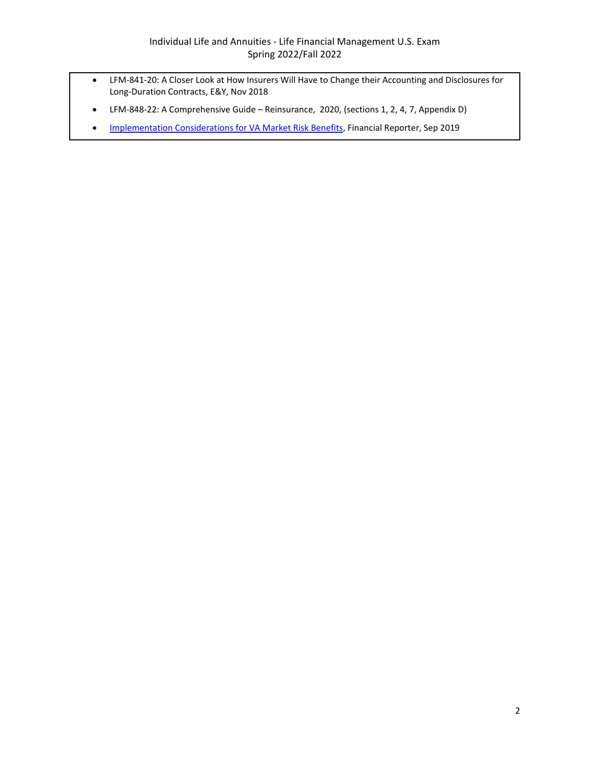- LFM-841-20: A Closer Look at How Insurers Will Have to Change their Accounting and Disclosures for Long-Duration Contracts, E&Y, Nov 2018
- LFM-848-22: A Comprehensive Guide Reinsurance, 2020, (sections 1, 2, 4, 7, Appendix D)
- [Implementation Considerations for VA Market Risk Benefits,](https://sections.soa.org/publication/?m=59605&i=614324&view=articleBrowser&article_id=3465172) Financial Reporter, Sep 2019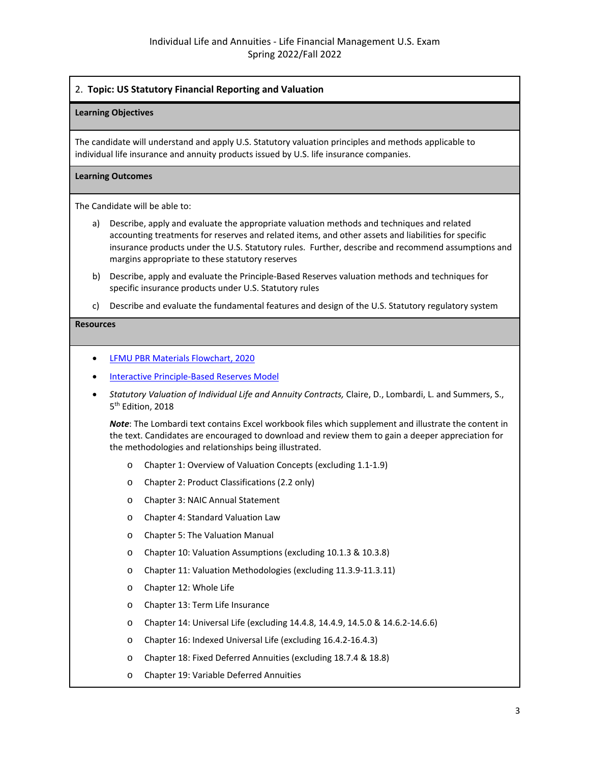## 2. **Topic: US Statutory Financial Reporting and Valuation**

#### **Learning Objectives**

The candidate will understand and apply U.S. Statutory valuation principles and methods applicable to individual life insurance and annuity products issued by U.S. life insurance companies.

#### **Learning Outcomes**

The Candidate will be able to:

- a) Describe, apply and evaluate the appropriate valuation methods and techniques and related accounting treatments for reserves and related items, and other assets and liabilities for specific insurance products under the U.S. Statutory rules. Further, describe and recommend assumptions and margins appropriate to these statutory reserves
- b) Describe, apply and evaluate the Principle-Based Reserves valuation methods and techniques for specific insurance products under U.S. Statutory rules
- c) Describe and evaluate the fundamental features and design of the U.S. Statutory regulatory system

#### **Resources**

- [LFMU PBR Materials Flowchart, 2020](https://www.soa.org/globalassets/assets/files/edu/2021/spring/ila-lfmu-pbr-flowchart.pdf)
- [Interactive Principle-Based Reserves Model](https://www.soa.org/globalassets/assets/files/edu/2022/spring/syllabi/ila-lfmu-interactive-principle-based-reserves-090821.xlsx)
- *Statutory Valuation of Individual Life and Annuity Contracts,* Claire, D., Lombardi, L. and Summers, S., 5<sup>th</sup> Edition, 2018

*Note*: The Lombardi text contains Excel workbook files which supplement and illustrate the content in the text. Candidates are encouraged to download and review them to gain a deeper appreciation for the methodologies and relationships being illustrated.

- o Chapter 1: Overview of Valuation Concepts (excluding 1.1-1.9)
- o Chapter 2: Product Classifications (2.2 only)
- o Chapter 3: NAIC Annual Statement
- o Chapter 4: Standard Valuation Law
- o Chapter 5: The Valuation Manual
- o Chapter 10: Valuation Assumptions (excluding 10.1.3 & 10.3.8)
- o Chapter 11: Valuation Methodologies (excluding 11.3.9-11.3.11)
- o Chapter 12: Whole Life
- o Chapter 13: Term Life Insurance
- o Chapter 14: Universal Life (excluding 14.4.8, 14.4.9, 14.5.0 & 14.6.2-14.6.6)
- o Chapter 16: Indexed Universal Life (excluding 16.4.2-16.4.3)
- o Chapter 18: Fixed Deferred Annuities (excluding 18.7.4 & 18.8)
- o Chapter 19: Variable Deferred Annuities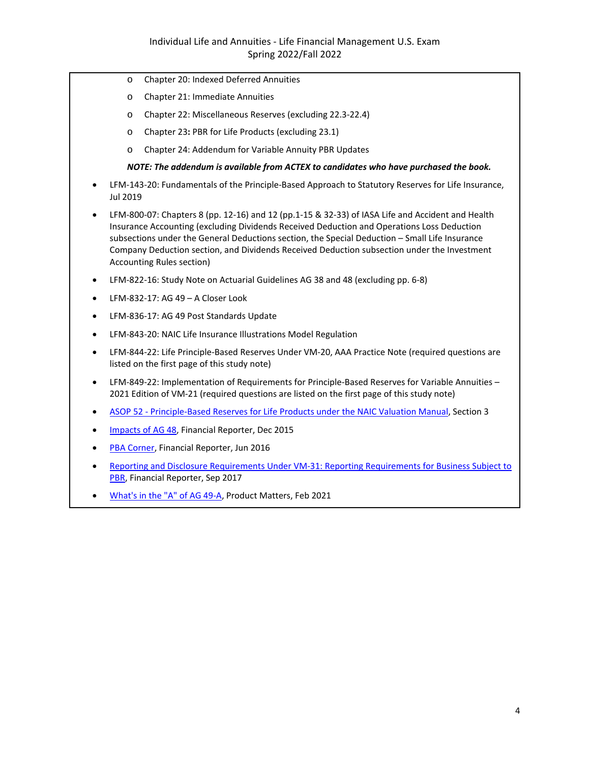- o Chapter 20: Indexed Deferred Annuities
- o Chapter 21: Immediate Annuities
- o Chapter 22: Miscellaneous Reserves (excluding 22.3-22.4)
- o Chapter 23**:** PBR for Life Products (excluding 23.1)
- o Chapter 24: Addendum for Variable Annuity PBR Updates

#### *NOTE: The addendum is available from ACTEX to candidates who have purchased the book.*

- LFM-143-20: Fundamentals of the Principle-Based Approach to Statutory Reserves for Life Insurance, Jul 2019
- LFM-800-07: Chapters 8 (pp. 12-16) and 12 (pp.1-15 & 32-33) of IASA Life and Accident and Health Insurance Accounting (excluding Dividends Received Deduction and Operations Loss Deduction subsections under the General Deductions section, the Special Deduction – Small Life Insurance Company Deduction section, and Dividends Received Deduction subsection under the Investment Accounting Rules section)
- LFM-822-16: Study Note on Actuarial Guidelines AG 38 and 48 (excluding pp. 6-8)
- LFM-832-17: AG 49 A Closer Look
- LFM-836-17: AG 49 Post Standards Update
- LFM-843-20: NAIC Life Insurance Illustrations Model Regulation
- LFM-844-22: Life Principle-Based Reserves Under VM-20, AAA Practice Note (required questions are listed on the first page of this study note)
- LFM-849-22: Implementation of Requirements for Principle-Based Reserves for Variable Annuities 2021 Edition of VM-21 (required questions are listed on the first page of this study note)
- [ASOP 52 Principle-Based Reserves for Life Products under the NAIC Valuation Manual,](http://www.actuarialstandardsboard.org/wp-content/uploads/2017/10/asop052_189.pdf) Section 3
- [Impacts of AG 48,](https://www.soa.org/globalassets/assets/library/newsletters/financial-reporter/2015/december/fr-2015-iss-103-buchich-rahill-shaw.pdf) Financial Reporter, Dec 2015
- [PBA Corner,](https://www.soa.org/globalassets/assets/library/newsletters/financial-reporter/2016/june/fr-2016-iss105-rudolph-wang.pdf) Financial Reporter, Jun 2016
- [Reporting and Disclosure Requirements Under VM-31: Reporting Requirements for Business Subject to](https://www.soa.org/globalassets/assets/library/newsletters/financial-reporter/2017/september/fr-2017-iss110-rastogi.pdf)  [PBR,](https://www.soa.org/globalassets/assets/library/newsletters/financial-reporter/2017/september/fr-2017-iss110-rastogi.pdf) Financial Reporter, Sep 2017
- [What's in the "A" of AG 49-A,](https://www.soa.org/sections/product-dev/product-dev-newsletter/2021/february/pm-2021-02-megregian/) Product Matters, Feb 2021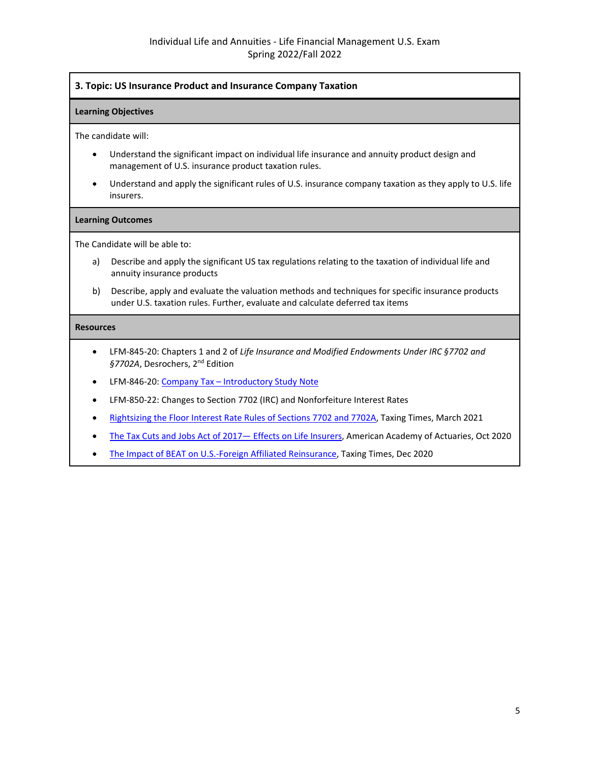## **3. Topic: US Insurance Product and Insurance Company Taxation**

#### **Learning Objectives**

The candidate will:

- Understand the significant impact on individual life insurance and annuity product design and management of U.S. insurance product taxation rules.
- Understand and apply the significant rules of U.S. insurance company taxation as they apply to U.S. life insurers.

#### **Learning Outcomes**

The Candidate will be able to:

- a) Describe and apply the significant US tax regulations relating to the taxation of individual life and annuity insurance products
- b) Describe, apply and evaluate the valuation methods and techniques for specific insurance products under U.S. taxation rules. Further, evaluate and calculate deferred tax items

- LFM-845-20: Chapters 1 and 2 of *Life Insurance and Modified Endowments Under IRC §7702 and*  §7702A, Desrochers, 2<sup>nd</sup> Edition
- LFM-846-20[: Company Tax Introductory Study Note](https://www.soa.org/globalassets/assets/files/edu/2020/spring/intro-study-notes/spring-2020-exam-lfm.pdf)
- LFM-850-22: Changes to Section 7702 (IRC) and Nonforfeiture Interest Rates
- [Rightsizing the Floor Interest Rate Rules of Sections 7702 and 7702A,](https://www.soa.org/sections/taxation/taxation-newsletter/2021/march/tax-2021-03-king/) Taxing Times, March 2021
- The Tax Cuts and Jobs Act of 2017 Effects on Life Insurers, American Academy of Actuaries, Oct 2020
- [The Impact of BEAT on U.S.-Foreign Affiliated Reinsurance,](https://www.soa.org/sections/taxation/taxation-newsletter/2020/december/tax-2020-12-lopez/) Taxing Times, Dec 2020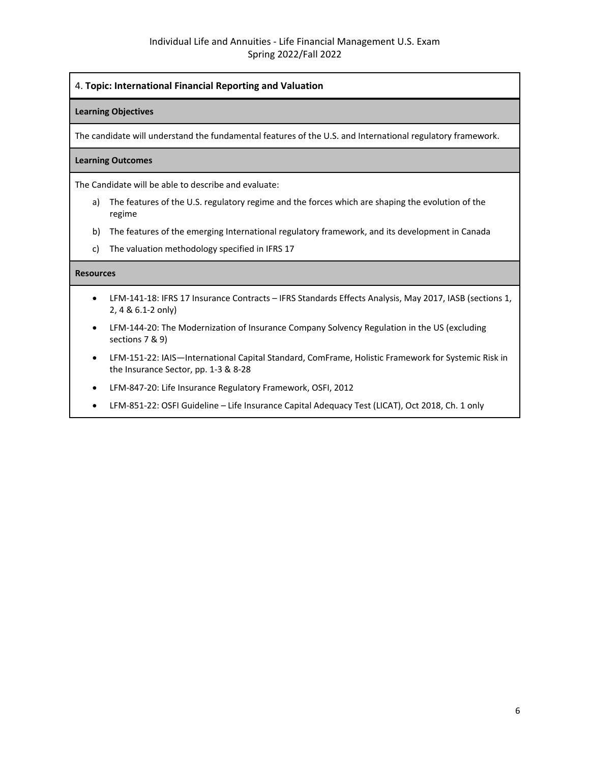## 4. **Topic: International Financial Reporting and Valuation**

## **Learning Objectives**

The candidate will understand the fundamental features of the U.S. and International regulatory framework.

#### **Learning Outcomes**

The Candidate will be able to describe and evaluate:

- a) The features of the U.S. regulatory regime and the forces which are shaping the evolution of the regime
- b) The features of the emerging International regulatory framework, and its development in Canada
- c) The valuation methodology specified in IFRS 17

- LFM-141-18: IFRS 17 Insurance Contracts IFRS Standards Effects Analysis, May 2017, IASB (sections 1, 2, 4 & 6.1-2 only)
- LFM-144-20: The Modernization of Insurance Company Solvency Regulation in the US (excluding sections 7 & 9)
- LFM-151-22: IAIS—International Capital Standard, ComFrame, Holistic Framework for Systemic Risk in the Insurance Sector, pp. 1-3 & 8-28
- LFM-847-20: Life Insurance Regulatory Framework, OSFI, 2012
- LFM-851-22: OSFI Guideline Life Insurance Capital Adequacy Test (LICAT), Oct 2018, Ch. 1 only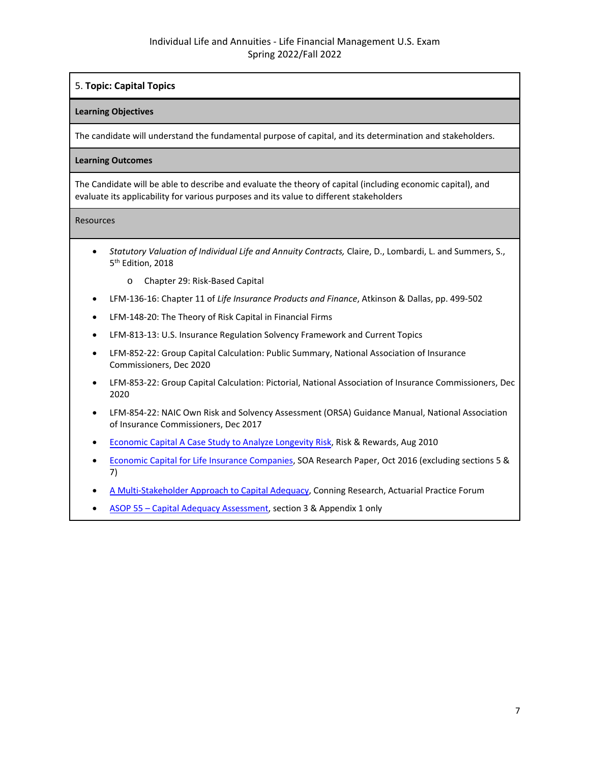## 5. **Topic: Capital Topics**

## **Learning Objectives**

The candidate will understand the fundamental purpose of capital, and its determination and stakeholders.

## **Learning Outcomes**

The Candidate will be able to describe and evaluate the theory of capital (including economic capital), and evaluate its applicability for various purposes and its value to different stakeholders

- *Statutory Valuation of Individual Life and Annuity Contracts,* Claire, D., Lombardi, L. and Summers, S., 5<sup>th</sup> Edition, 2018
	- o Chapter 29: Risk-Based Capital
- LFM-136-16: Chapter 11 of *Life Insurance Products and Finance*, Atkinson & Dallas, pp. 499-502
- LFM-148-20: The Theory of Risk Capital in Financial Firms
- LFM-813-13: U.S. Insurance Regulation Solvency Framework and Current Topics
- LFM-852-22: Group Capital Calculation: Public Summary, National Association of Insurance Commissioners, Dec 2020
- LFM-853-22: Group Capital Calculation: Pictorial, National Association of Insurance Commissioners, Dec 2020
- LFM-854-22: NAIC Own Risk and Solvency Assessment (ORSA) Guidance Manual, National Association of Insurance Commissioners, Dec 2017
- [Economic Capital](https://www.soa.org/globalassets/assets/library/newsletters/risks-and-rewards/2010/august/rar-2010-iss56-silverman.pdf) A Case Study to Analyze Longevity Risk, Risk & Rewards, Aug 2010
- [Economic Capital for Life Insurance Companies,](https://www.soa.org/globalassets/assets/Files/Research/Projects/research-2016-economic-capital-life-insurance-report.pdf) SOA Research Paper, Oct 2016 (excluding sections 5 & 7)
- [A Multi-Stakeholder Approach to Capital Adequacy,](https://www.soa.org/globalassets/assets/library/journals/actuarial-practice-forum/2007/may/APF0705_01.pdf) Conning Research, Actuarial Practice Forum
- [ASOP 55 Capital Adequacy Assessment,](http://www.actuarialstandardsboard.org/wp-content/uploads/2019/06/asop055_194.pdf) section 3 & Appendix 1 only